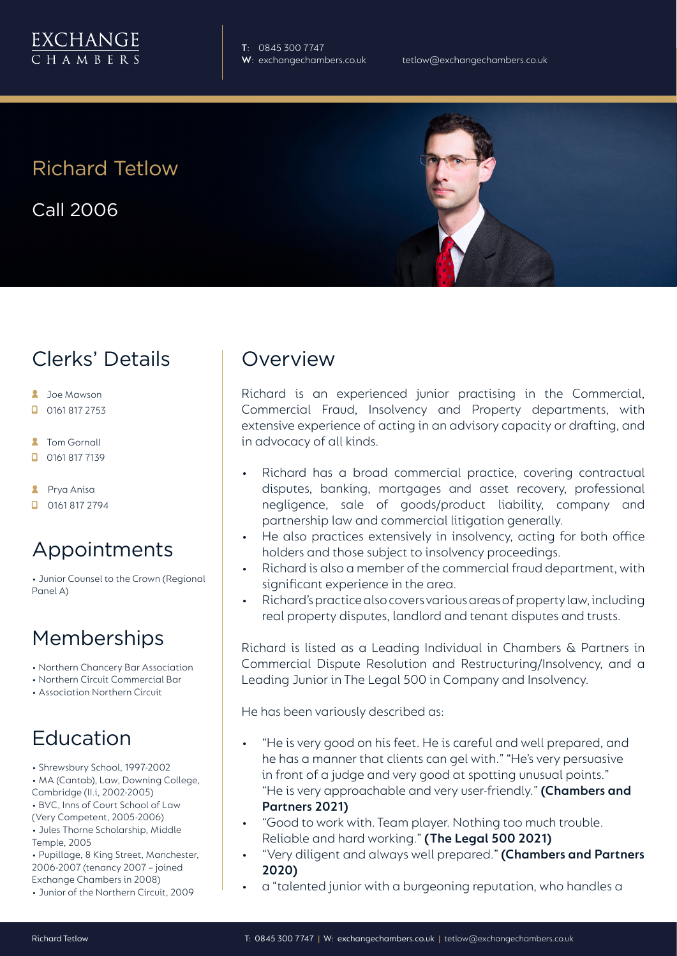

**T**: 0845 300 7747

Richard Tetlow

Call 2006

# Clerks' Details

- **2** Joe Mawson
- $\Box$  0161 817 2753
- **2** Tom Gornall
- 0161 817 7139
- **2** Prya Anisa
- $\Box$  0161 817 2794

# Appointments

• Junior Counsel to the Crown (Regional Panel A)

### Memberships

- Northern Chancery Bar Association
- Northern Circuit Commercial Bar
- Association Northern Circuit

# Education

- Shrewsbury School, 1997-2002
- MA (Cantab), Law, Downing College,
- Cambridge (II.i, 2002-2005)
- BVC, Inns of Court School of Law (Very Competent, 2005-2006)
- Jules Thorne Scholarship, Middle
- Temple, 2005

• Pupillage, 8 King Street, Manchester, 2006-2007 (tenancy 2007 – joined Exchange Chambers in 2008)

• Junior of the Northern Circuit, 2009

#### **Overview**

Richard is an experienced junior practising in the Commercial, Commercial Fraud, Insolvency and Property departments, with extensive experience of acting in an advisory capacity or drafting, and in advocacy of all kinds.

- Richard has a broad commercial practice, covering contractual disputes, banking, mortgages and asset recovery, professional negligence, sale of goods/product liability, company and partnership law and commercial litigation generally.
- He also practices extensively in insolvency, acting for both office holders and those subject to insolvency proceedings.
- Richard is also a member of the commercial fraud department, with significant experience in the area.
- Richard's practice also covers various areas of property law, including real property disputes, landlord and tenant disputes and trusts.

Richard is listed as a Leading Individual in Chambers & Partners in Commercial Dispute Resolution and Restructuring/Insolvency, and a Leading Junior in The Legal 500 in Company and Insolvency.

He has been variously described as:

- "He is very good on his feet. He is careful and well prepared, and he has a manner that clients can gel with." "He's very persuasive in front of a judge and very good at spotting unusual points." "He is very approachable and very user-friendly." **(Chambers and Partners 2021)**
- "Good to work with. Team player. Nothing too much trouble. Reliable and hard working." **(The Legal 500 2021)**
- "Very diligent and always well prepared." **(Chambers and Partners 2020)**
- a "talented junior with a burgeoning reputation, who handles a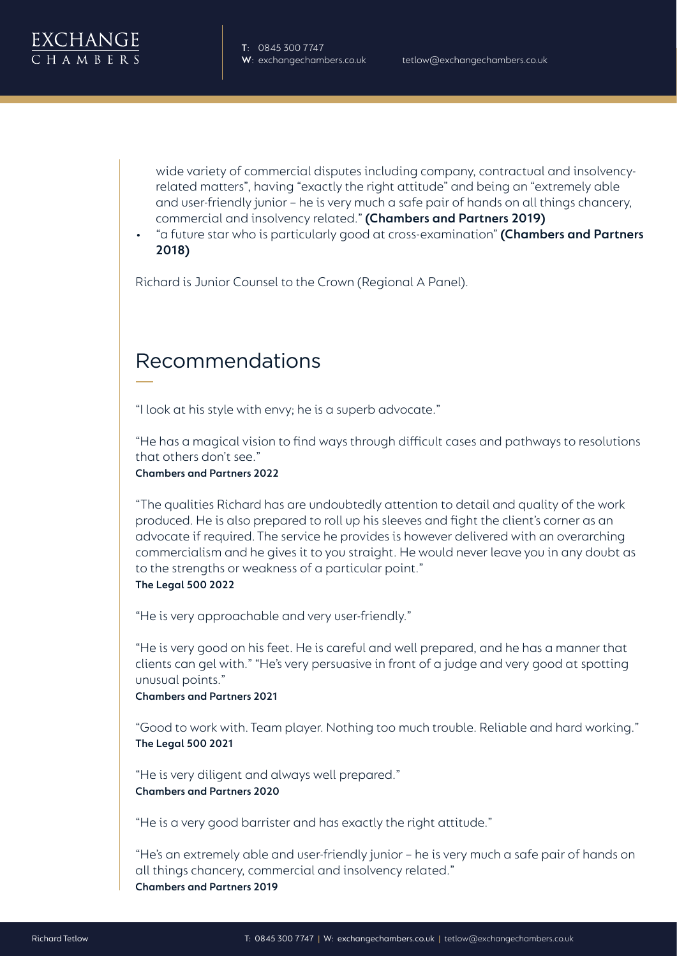wide variety of commercial disputes including company, contractual and insolvencyrelated matters", having "exactly the right attitude" and being an "extremely able and user-friendly junior – he is very much a safe pair of hands on all things chancery, commercial and insolvency related." **(Chambers and Partners 2019)**

• "a future star who is particularly good at cross-examination" **(Chambers and Partners 2018)**

Richard is Junior Counsel to the Crown (Regional A Panel).

## Recommendations

"I look at his style with envy; he is a superb advocate."

"He has a magical vision to find ways through difficult cases and pathways to resolutions that others don't see."

**Chambers and Partners 2022**

"The qualities Richard has are undoubtedly attention to detail and quality of the work produced. He is also prepared to roll up his sleeves and fight the client's corner as an advocate if required. The service he provides is however delivered with an overarching commercialism and he gives it to you straight. He would never leave you in any doubt as to the strengths or weakness of a particular point."

#### **The Legal 500 2022**

"He is very approachable and very user-friendly."

"He is very good on his feet. He is careful and well prepared, and he has a manner that clients can gel with." "He's very persuasive in front of a judge and very good at spotting unusual points."

**Chambers and Partners 2021**

"Good to work with. Team player. Nothing too much trouble. Reliable and hard working." **The Legal 500 2021**

"He is very diligent and always well prepared." **Chambers and Partners 2020**

"He is a very good barrister and has exactly the right attitude."

"He's an extremely able and user-friendly junior – he is very much a safe pair of hands on all things chancery, commercial and insolvency related." **Chambers and Partners 2019**